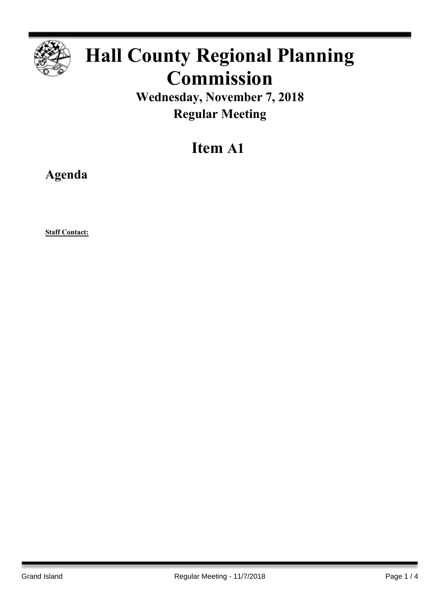

# **Hall County Regional Planning Commission**

**Wednesday, November 7, 2018 Regular Meeting**

# **Item A1**

**Agenda**

**Staff Contact:**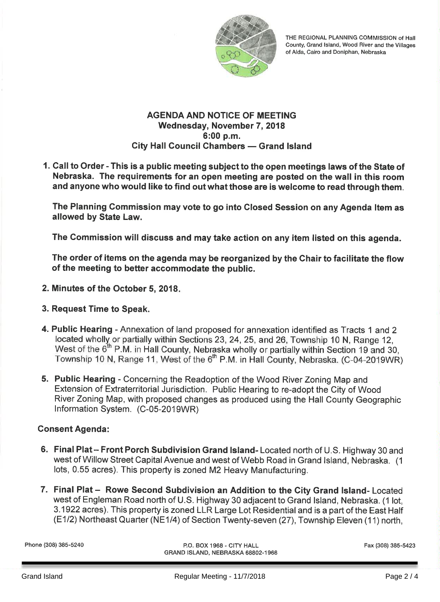

THE REGIONAL PLANNING COMMISSION of Hall County, Grand Island, Wood River and the Villages of Alda, Cairo and Doniphan, Nebraska

#### **AGENDA AND NOTICE OF MEETING** Wednesday, November 7, 2018 6:00 p.m. **City Hall Council Chambers - Grand Island**

1. Call to Order - This is a public meeting subject to the open meetings laws of the State of Nebraska. The requirements for an open meeting are posted on the wall in this room and anyone who would like to find out what those are is welcome to read through them.

The Planning Commission may vote to go into Closed Session on any Agenda Item as allowed by State Law.

The Commission will discuss and may take action on any item listed on this agenda.

The order of items on the agenda may be reorganized by the Chair to facilitate the flow of the meeting to better accommodate the public.

- 2. Minutes of the October 5, 2018.
- 3. Request Time to Speak.
- 4. Public Hearing Annexation of land proposed for annexation identified as Tracts 1 and 2 located wholly or partially within Sections 23, 24, 25, and 26, Township 10 N, Range 12, West of the 6<sup>th</sup> P.M. in Hall County, Nebraska wholly or partially within Section 19 and 30, Township 10 N, Range 11, West of the 6<sup>th</sup> P.M. in Hall County, Nebraska. (C-04-2019WR)
- 5. Public Hearing Concerning the Readoption of the Wood River Zoning Map and Extension of Extraterritorial Jurisdiction. Public Hearing to re-adopt the City of Wood River Zoning Map, with proposed changes as produced using the Hall County Geographic Information System. (C-05-2019WR)

# **Consent Agenda:**

- 6. Final Plat Front Porch Subdivision Grand Island-Located north of U.S. Highway 30 and west of Willow Street Capital Avenue and west of Webb Road in Grand Island, Nebraska. (1 lots, 0.55 acres). This property is zoned M2 Heavy Manufacturing.
- 7. Final Plat Rowe Second Subdivision an Addition to the City Grand Island-Located west of Engleman Road north of U.S. Highway 30 adjacent to Grand Island, Nebraska. (1 lot, 3.1922 acres). This property is zoned LLR Large Lot Residential and is a part of the East Half (E1/2) Northeast Quarter (NE1/4) of Section Twenty-seven (27), Township Eleven (11) north,

Phone (308) 385-5240

P.O. BOX 1968 - CITY HALL GRAND ISLAND, NEBRASKA 68802-1968 Fax (308) 385-5423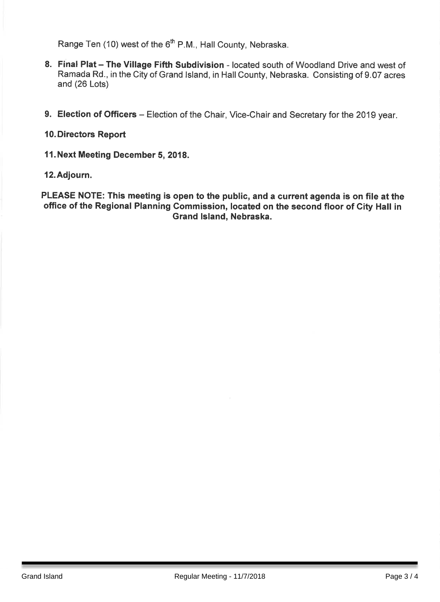Range Ten (10) west of the 6<sup>th</sup> P.M., Hall County, Nebraska.

- 8. Final Plat The Village Fifth Subdivision located south of Woodland Drive and west of Ramada Rd., in the City of Grand Island, in Hall County, Nebraska. Consisting of 9.07 acres and (26 Lots)
- 9. Election of Officers Election of the Chair, Vice-Chair and Secretary for the 2019 year.

## 10. Directors Report

11. Next Meeting December 5, 2018.

#### 12. Adjourn.

PLEASE NOTE: This meeting is open to the public, and a current agenda is on file at the office of the Regional Planning Commission, located on the second floor of City Hall in Grand Island, Nebraska.